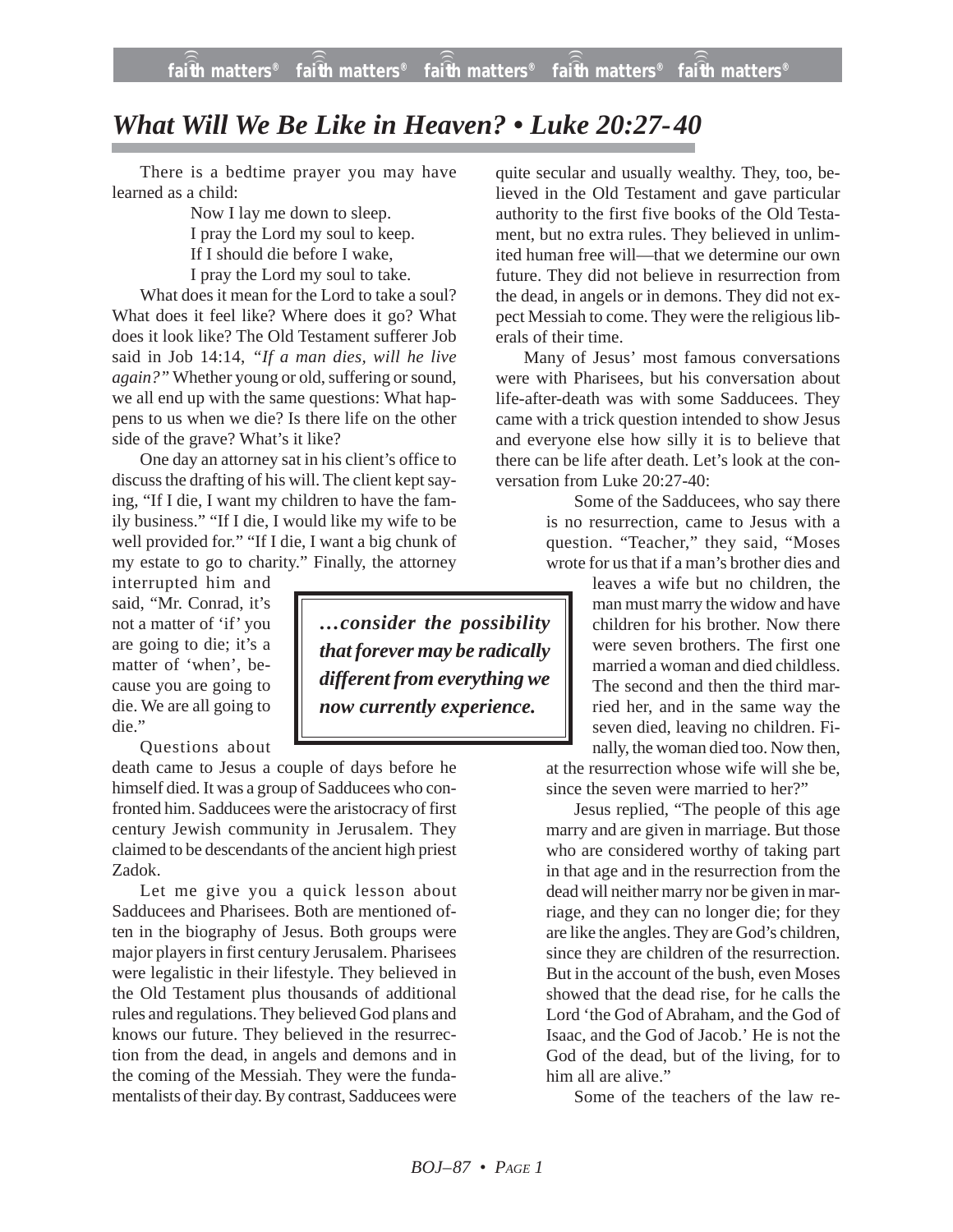## *What Will We Be Like in Heaven? • Luke 20:27-40*

There is a bedtime prayer you may have learned as a child:

> Now I lay me down to sleep. I pray the Lord my soul to keep. If I should die before I wake,

I pray the Lord my soul to take.

What does it mean for the Lord to take a soul? What does it feel like? Where does it go? What does it look like? The Old Testament sufferer Job said in Job 14:14, *"If a man dies, will he live again?"* Whether young or old, suffering or sound, we all end up with the same questions: What happens to us when we die? Is there life on the other side of the grave? What's it like?

One day an attorney sat in his client's office to discuss the drafting of his will. The client kept saying, "If I die, I want my children to have the family business." "If I die, I would like my wife to be well provided for." "If I die, I want a big chunk of my estate to go to charity." Finally, the attorney

interrupted him and said, "Mr. Conrad, it's not a matter of 'if' you are going to die; it's a matter of 'when', because you are going to die. We are all going to die."

Questions about

death came to Jesus a couple of days before he himself died. It was a group of Sadducees who confronted him. Sadducees were the aristocracy of first century Jewish community in Jerusalem. They claimed to be descendants of the ancient high priest Zadok.

Let me give you a quick lesson about Sadducees and Pharisees. Both are mentioned often in the biography of Jesus. Both groups were major players in first century Jerusalem. Pharisees were legalistic in their lifestyle. They believed in the Old Testament plus thousands of additional rules and regulations. They believed God plans and knows our future. They believed in the resurrection from the dead, in angels and demons and in the coming of the Messiah. They were the fundamentalists of their day. By contrast, Sadducees were

quite secular and usually wealthy. They, too, believed in the Old Testament and gave particular authority to the first five books of the Old Testament, but no extra rules. They believed in unlimited human free will—that we determine our own future. They did not believe in resurrection from the dead, in angels or in demons. They did not expect Messiah to come. They were the religious liberals of their time.

Many of Jesus' most famous conversations were with Pharisees, but his conversation about life-after-death was with some Sadducees. They came with a trick question intended to show Jesus and everyone else how silly it is to believe that there can be life after death. Let's look at the conversation from Luke 20:27-40:

> Some of the Sadducees, who say there is no resurrection, came to Jesus with a question. "Teacher," they said, "Moses wrote for us that if a man's brother dies and

> > leaves a wife but no children, the man must marry the widow and have children for his brother. Now there were seven brothers. The first one married a woman and died childless. The second and then the third married her, and in the same way the seven died, leaving no children. Finally, the woman died too. Now then,

at the resurrection whose wife will she be, since the seven were married to her?"

Jesus replied, "The people of this age marry and are given in marriage. But those who are considered worthy of taking part in that age and in the resurrection from the dead will neither marry nor be given in marriage, and they can no longer die; for they are like the angles. They are God's children, since they are children of the resurrection. But in the account of the bush, even Moses showed that the dead rise, for he calls the Lord 'the God of Abraham, and the God of Isaac, and the God of Jacob.' He is not the God of the dead, but of the living, for to him all are alive."

Some of the teachers of the law re-

*…consider the possibility that forever may be radically different from everything we now currently experience.*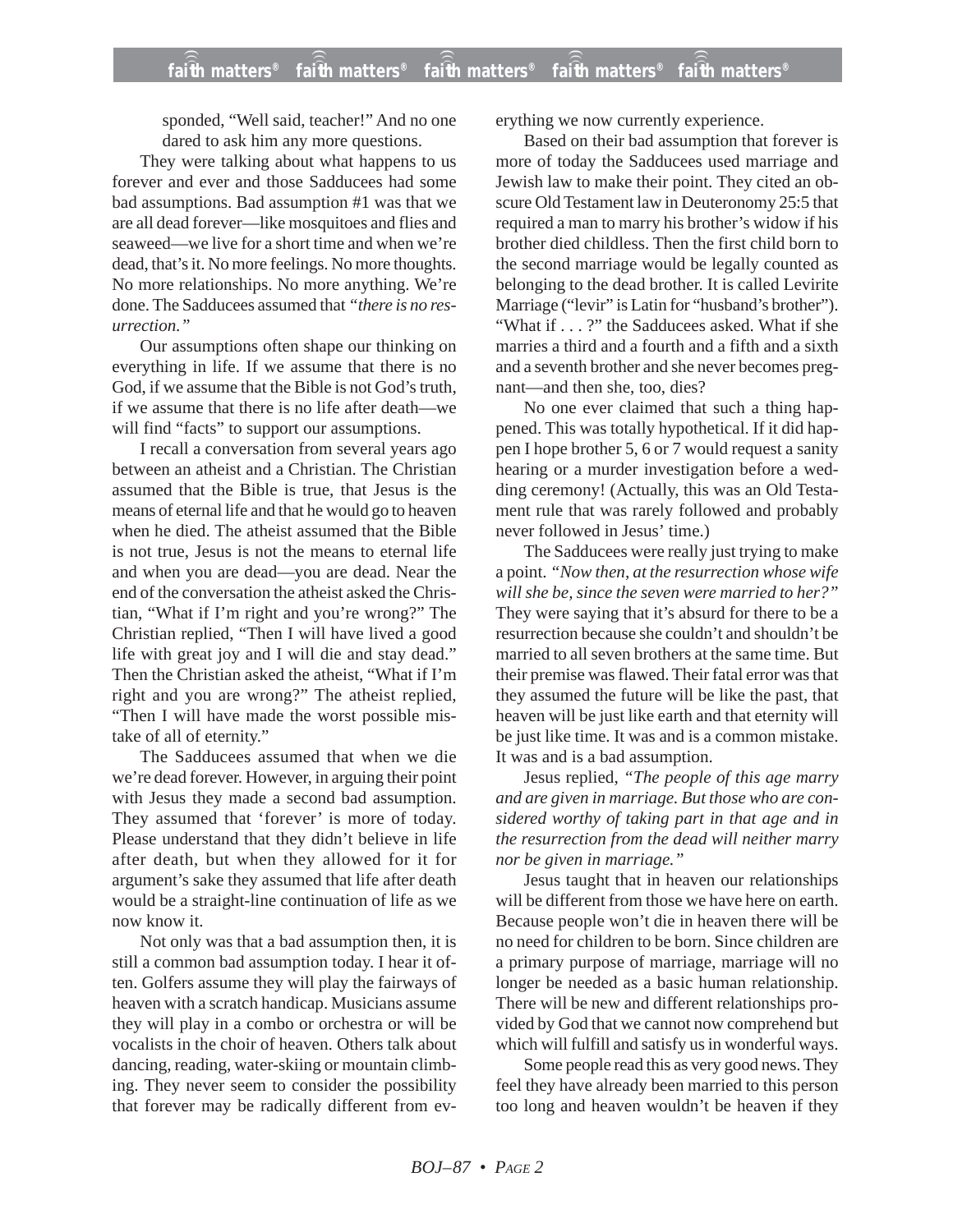sponded, "Well said, teacher!" And no one dared to ask him any more questions.

They were talking about what happens to us forever and ever and those Sadducees had some bad assumptions. Bad assumption #1 was that we are all dead forever—like mosquitoes and flies and seaweed—we live for a short time and when we're dead, that's it. No more feelings. No more thoughts. No more relationships. No more anything. We're done. The Sadducees assumed that *"there is no resurrection."*

Our assumptions often shape our thinking on everything in life. If we assume that there is no God, if we assume that the Bible is not God's truth, if we assume that there is no life after death—we will find "facts" to support our assumptions.

I recall a conversation from several years ago between an atheist and a Christian. The Christian assumed that the Bible is true, that Jesus is the means of eternal life and that he would go to heaven when he died. The atheist assumed that the Bible is not true, Jesus is not the means to eternal life and when you are dead—you are dead. Near the end of the conversation the atheist asked the Christian, "What if I'm right and you're wrong?" The Christian replied, "Then I will have lived a good life with great joy and I will die and stay dead." Then the Christian asked the atheist, "What if I'm right and you are wrong?" The atheist replied, "Then I will have made the worst possible mistake of all of eternity."

The Sadducees assumed that when we die we're dead forever. However, in arguing their point with Jesus they made a second bad assumption. They assumed that 'forever' is more of today. Please understand that they didn't believe in life after death, but when they allowed for it for argument's sake they assumed that life after death would be a straight-line continuation of life as we now know it.

Not only was that a bad assumption then, it is still a common bad assumption today. I hear it often. Golfers assume they will play the fairways of heaven with a scratch handicap. Musicians assume they will play in a combo or orchestra or will be vocalists in the choir of heaven. Others talk about dancing, reading, water-skiing or mountain climbing. They never seem to consider the possibility that forever may be radically different from everything we now currently experience.

Based on their bad assumption that forever is more of today the Sadducees used marriage and Jewish law to make their point. They cited an obscure Old Testament law in Deuteronomy 25:5 that required a man to marry his brother's widow if his brother died childless. Then the first child born to the second marriage would be legally counted as belonging to the dead brother. It is called Levirite Marriage ("levir" is Latin for "husband's brother"). "What if . . . ?" the Sadducees asked. What if she marries a third and a fourth and a fifth and a sixth and a seventh brother and she never becomes pregnant—and then she, too, dies?

No one ever claimed that such a thing happened. This was totally hypothetical. If it did happen I hope brother 5, 6 or 7 would request a sanity hearing or a murder investigation before a wedding ceremony! (Actually, this was an Old Testament rule that was rarely followed and probably never followed in Jesus' time.)

The Sadducees were really just trying to make a point. *"Now then, at the resurrection whose wife will she be, since the seven were married to her?"* They were saying that it's absurd for there to be a resurrection because she couldn't and shouldn't be married to all seven brothers at the same time. But their premise was flawed. Their fatal error was that they assumed the future will be like the past, that heaven will be just like earth and that eternity will be just like time. It was and is a common mistake. It was and is a bad assumption.

Jesus replied, *"The people of this age marry and are given in marriage. But those who are considered worthy of taking part in that age and in the resurrection from the dead will neither marry nor be given in marriage."*

Jesus taught that in heaven our relationships will be different from those we have here on earth. Because people won't die in heaven there will be no need for children to be born. Since children are a primary purpose of marriage, marriage will no longer be needed as a basic human relationship. There will be new and different relationships provided by God that we cannot now comprehend but which will fulfill and satisfy us in wonderful ways.

Some people read this as very good news. They feel they have already been married to this person too long and heaven wouldn't be heaven if they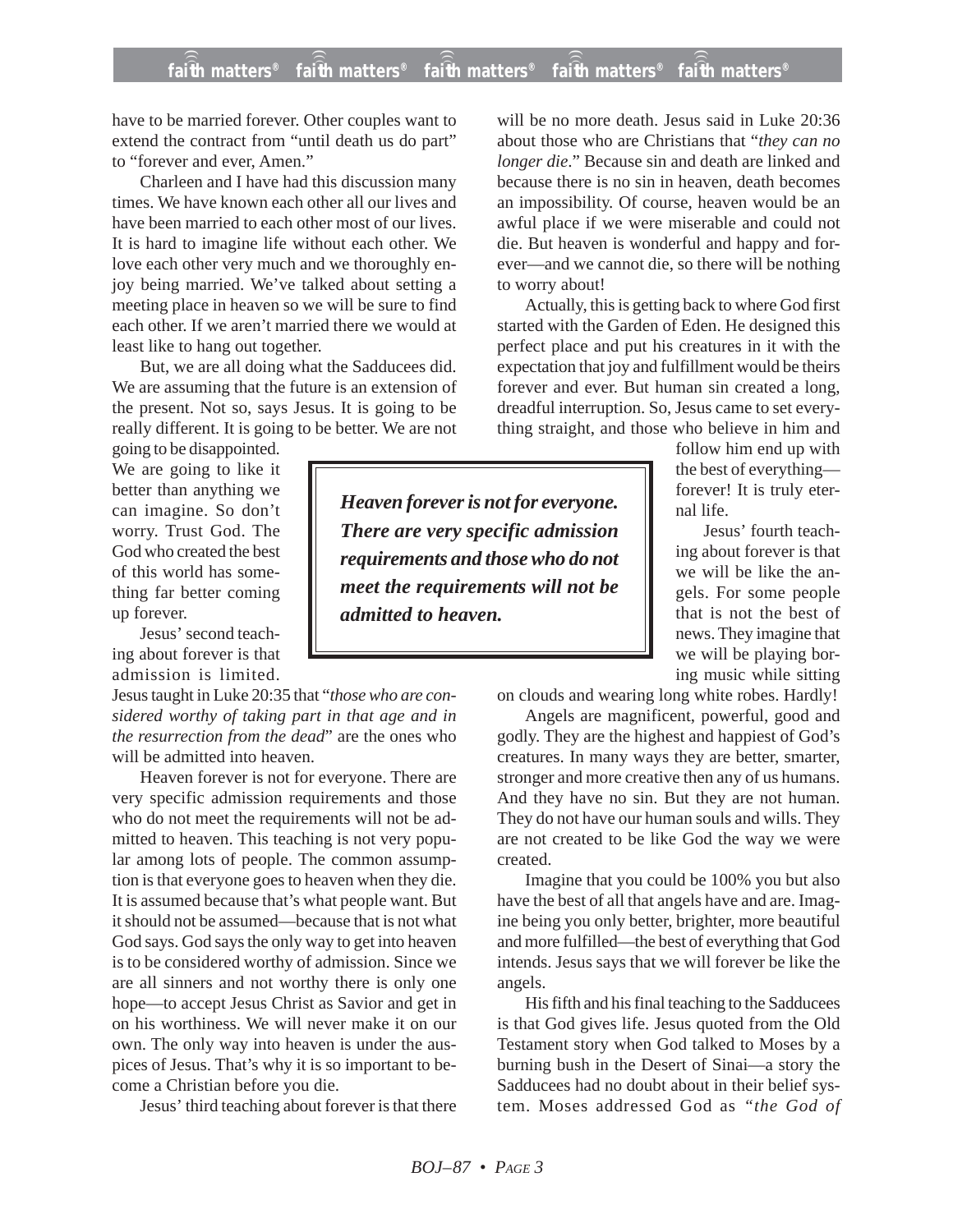## **faith matters® faith matters® faith matters® faith matters® faith matters®** ))) ))) ))) ))) )))

have to be married forever. Other couples want to extend the contract from "until death us do part" to "forever and ever, Amen."

Charleen and I have had this discussion many times. We have known each other all our lives and have been married to each other most of our lives. It is hard to imagine life without each other. We love each other very much and we thoroughly enjoy being married. We've talked about setting a meeting place in heaven so we will be sure to find each other. If we aren't married there we would at least like to hang out together.

But, we are all doing what the Sadducees did. We are assuming that the future is an extension of the present. Not so, says Jesus. It is going to be really different. It is going to be better. We are not

going to be disappointed. We are going to like it better than anything we can imagine. So don't worry. Trust God. The God who created the best of this world has something far better coming up forever.

Jesus' second teaching about forever is that admission is limited.

Jesus taught in Luke 20:35 that "*those who are considered worthy of taking part in that age and in the resurrection from the dead*" are the ones who will be admitted into heaven.

Heaven forever is not for everyone. There are very specific admission requirements and those who do not meet the requirements will not be admitted to heaven. This teaching is not very popular among lots of people. The common assumption is that everyone goes to heaven when they die. It is assumed because that's what people want. But it should not be assumed—because that is not what God says. God says the only way to get into heaven is to be considered worthy of admission. Since we are all sinners and not worthy there is only one hope—to accept Jesus Christ as Savior and get in on his worthiness. We will never make it on our own. The only way into heaven is under the auspices of Jesus. That's why it is so important to become a Christian before you die.

Jesus' third teaching about forever is that there

will be no more death. Jesus said in Luke 20:36 about those who are Christians that "*they can no longer die*." Because sin and death are linked and because there is no sin in heaven, death becomes an impossibility. Of course, heaven would be an awful place if we were miserable and could not die. But heaven is wonderful and happy and forever—and we cannot die, so there will be nothing to worry about!

Actually, this is getting back to where God first started with the Garden of Eden. He designed this perfect place and put his creatures in it with the expectation that joy and fulfillment would be theirs forever and ever. But human sin created a long, dreadful interruption. So, Jesus came to set everything straight, and those who believe in him and

follow him end up with the best of everything forever! It is truly eternal life.

Jesus' fourth teaching about forever is that we will be like the angels. For some people that is not the best of news. They imagine that we will be playing boring music while sitting

on clouds and wearing long white robes. Hardly!

Angels are magnificent, powerful, good and godly. They are the highest and happiest of God's creatures. In many ways they are better, smarter, stronger and more creative then any of us humans. And they have no sin. But they are not human. They do not have our human souls and wills. They are not created to be like God the way we were created.

Imagine that you could be 100% you but also have the best of all that angels have and are. Imagine being you only better, brighter, more beautiful and more fulfilled—the best of everything that God intends. Jesus says that we will forever be like the angels.

His fifth and his final teaching to the Sadducees is that God gives life. Jesus quoted from the Old Testament story when God talked to Moses by a burning bush in the Desert of Sinai—a story the Sadducees had no doubt about in their belief system. Moses addressed God as *"the God of*

*Heaven forever is not for everyone. There are very specific admission requirements and those who do not meet the requirements will not be admitted to heaven.*